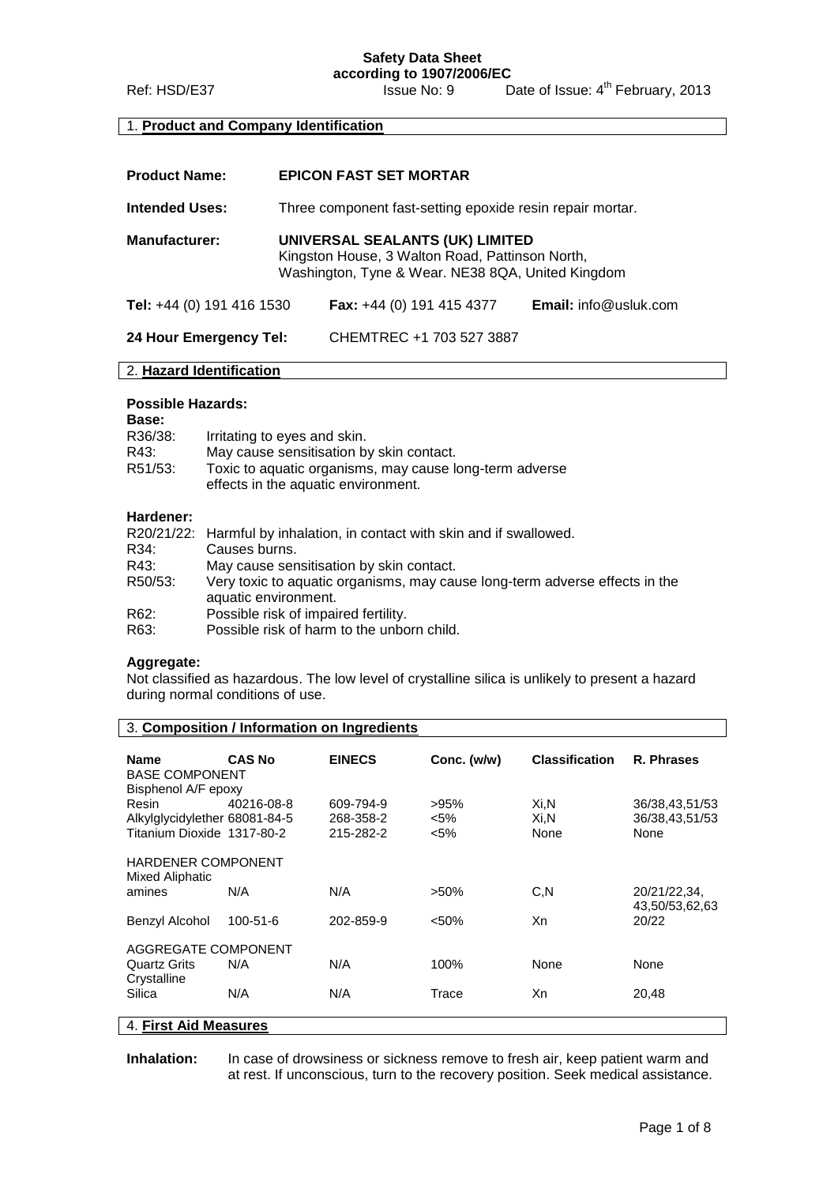### 1. **Product and Company Identification**

| <b>Product Name:</b>             | <b>EPICON FAST SET MORTAR</b>                                                                                                           |                                    |                              |
|----------------------------------|-----------------------------------------------------------------------------------------------------------------------------------------|------------------------------------|------------------------------|
| <b>Intended Uses:</b>            | Three component fast-setting epoxide resin repair mortar.                                                                               |                                    |                              |
| <b>Manufacturer:</b>             | UNIVERSAL SEALANTS (UK) LIMITED<br>Kingston House, 3 Walton Road, Pattinson North,<br>Washington, Tyne & Wear. NE38 8QA, United Kingdom |                                    |                              |
| <b>Tel:</b> +44 (0) 191 416 1530 |                                                                                                                                         | <b>Fax:</b> $+44$ (0) 191 415 4377 | <b>Email:</b> info@usluk.com |
| 24 Hour Emergency Tel:           |                                                                                                                                         | CHEMTREC +1 703 527 3887           |                              |

#### 2. **Hazard Identification**

#### **Possible Hazards:**

| <b>Base:</b> |                                                         |
|--------------|---------------------------------------------------------|
| R36/38:      | Irritating to eyes and skin.                            |
| R43:         | May cause sensitisation by skin contact.                |
| R51/53:      | Toxic to aquatic organisms, may cause long-term adverse |
|              | effects in the aquatic environment.                     |

## **Hardener:**

|         | R20/21/22: Harmful by inhalation, in contact with skin and if swallowed.    |
|---------|-----------------------------------------------------------------------------|
| R34:    | Causes burns.                                                               |
| R43:    | May cause sensitisation by skin contact.                                    |
| R50/53: | Very toxic to aquatic organisms, may cause long-term adverse effects in the |
|         | aquatic environment.                                                        |
| R62:    | Possible risk of impaired fertility.                                        |
| R63:    | Possible risk of harm to the unborn child.                                  |

#### **Aggregate:**

Not classified as hazardous. The low level of crystalline silica is unlikely to present a hazard during normal conditions of use.

|                                                                      |               | 3. Composition / Information on Ingredients |                               |                       |                                          |
|----------------------------------------------------------------------|---------------|---------------------------------------------|-------------------------------|-----------------------|------------------------------------------|
| <b>Name</b>                                                          | <b>CAS No</b> | <b>EINECS</b>                               | Conc. (w/w)                   | <b>Classification</b> | R. Phrases                               |
| <b>BASE COMPONENT</b><br>Bisphenol A/F epoxy                         |               |                                             |                               |                       |                                          |
| Resin<br>Alkylglycidylether 68081-84-5<br>Titanium Dioxide 1317-80-2 | 40216-08-8    | 609-794-9<br>268-358-2<br>215-282-2         | $>95\%$<br>$< 5\%$<br>$< 5\%$ | Xi,N<br>Xi,N<br>None  | 36/38,43,51/53<br>36/38,43,51/53<br>None |
| <b>HARDENER COMPONENT</b>                                            |               |                                             |                               |                       |                                          |
| Mixed Aliphatic                                                      |               |                                             |                               |                       |                                          |
| amines                                                               | N/A           | N/A                                         | $>50\%$                       | C, N                  | 20/21/22,34,<br>43,50/53,62,63           |
| Benzyl Alcohol                                                       | 100-51-6      | 202-859-9                                   | $< 50\%$                      | Xn                    | 20/22                                    |
| AGGREGATE COMPONENT                                                  |               |                                             |                               |                       |                                          |
| <b>Quartz Grits</b>                                                  | N/A           | N/A                                         | 100%                          | None                  | None                                     |
| Crystalline<br>Silica                                                | N/A           | N/A                                         | Trace                         | Xn                    | 20,48                                    |
| 4. First Aid Measures                                                |               |                                             |                               |                       |                                          |

**Inhalation:** In case of drowsiness or sickness remove to fresh air, keep patient warm and at rest. If unconscious, turn to the recovery position. Seek medical assistance.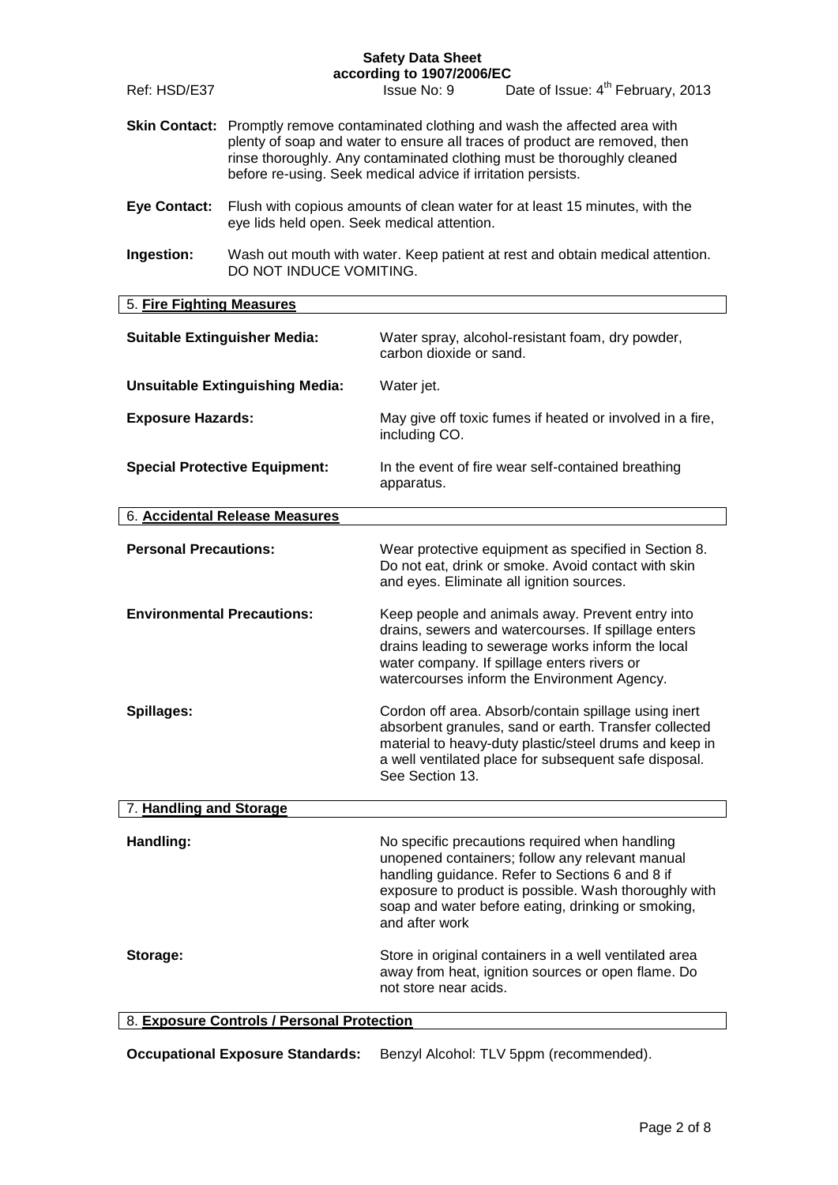|                                      |                                                                                                                                                                                                                                                                                                             | according to 1907/2006/EC<br>Date of Issue: 4 <sup>th</sup> February, 2013                                                                                                                                                                                                            |
|--------------------------------------|-------------------------------------------------------------------------------------------------------------------------------------------------------------------------------------------------------------------------------------------------------------------------------------------------------------|---------------------------------------------------------------------------------------------------------------------------------------------------------------------------------------------------------------------------------------------------------------------------------------|
| Ref: HSD/E37                         |                                                                                                                                                                                                                                                                                                             | Issue No: 9                                                                                                                                                                                                                                                                           |
|                                      | Skin Contact: Promptly remove contaminated clothing and wash the affected area with<br>plenty of soap and water to ensure all traces of product are removed, then<br>rinse thoroughly. Any contaminated clothing must be thoroughly cleaned<br>before re-using. Seek medical advice if irritation persists. |                                                                                                                                                                                                                                                                                       |
| <b>Eye Contact:</b>                  | eye lids held open. Seek medical attention.                                                                                                                                                                                                                                                                 | Flush with copious amounts of clean water for at least 15 minutes, with the                                                                                                                                                                                                           |
| Ingestion:                           | DO NOT INDUCE VOMITING.                                                                                                                                                                                                                                                                                     | Wash out mouth with water. Keep patient at rest and obtain medical attention.                                                                                                                                                                                                         |
| 5. Fire Fighting Measures            |                                                                                                                                                                                                                                                                                                             |                                                                                                                                                                                                                                                                                       |
|                                      | <b>Suitable Extinguisher Media:</b>                                                                                                                                                                                                                                                                         | Water spray, alcohol-resistant foam, dry powder,<br>carbon dioxide or sand.                                                                                                                                                                                                           |
|                                      | <b>Unsuitable Extinguishing Media:</b>                                                                                                                                                                                                                                                                      | Water jet.                                                                                                                                                                                                                                                                            |
| <b>Exposure Hazards:</b>             |                                                                                                                                                                                                                                                                                                             | May give off toxic fumes if heated or involved in a fire,<br>including CO.                                                                                                                                                                                                            |
| <b>Special Protective Equipment:</b> |                                                                                                                                                                                                                                                                                                             | In the event of fire wear self-contained breathing<br>apparatus.                                                                                                                                                                                                                      |
|                                      | 6. Accidental Release Measures                                                                                                                                                                                                                                                                              |                                                                                                                                                                                                                                                                                       |
| <b>Personal Precautions:</b>         |                                                                                                                                                                                                                                                                                                             | Wear protective equipment as specified in Section 8.<br>Do not eat, drink or smoke. Avoid contact with skin<br>and eyes. Eliminate all ignition sources.                                                                                                                              |
| <b>Environmental Precautions:</b>    |                                                                                                                                                                                                                                                                                                             | Keep people and animals away. Prevent entry into<br>drains, sewers and watercourses. If spillage enters<br>drains leading to sewerage works inform the local<br>water company. If spillage enters rivers or<br>watercourses inform the Environment Agency.                            |
| Spillages:                           |                                                                                                                                                                                                                                                                                                             | Cordon off area. Absorb/contain spillage using inert<br>absorbent granules, sand or earth. Transfer collected<br>material to heavy-duty plastic/steel drums and keep in<br>a well ventilated place for subsequent safe disposal.<br>See Section 13.                                   |
| 7. Handling and Storage              |                                                                                                                                                                                                                                                                                                             |                                                                                                                                                                                                                                                                                       |
| Handling:                            |                                                                                                                                                                                                                                                                                                             | No specific precautions required when handling<br>unopened containers; follow any relevant manual<br>handling guidance. Refer to Sections 6 and 8 if<br>exposure to product is possible. Wash thoroughly with<br>soap and water before eating, drinking or smoking,<br>and after work |
| Storage:                             |                                                                                                                                                                                                                                                                                                             | Store in original containers in a well ventilated area<br>away from heat, ignition sources or open flame. Do<br>not store near acids.                                                                                                                                                 |
|                                      | 8. Exposure Controls / Personal Protection                                                                                                                                                                                                                                                                  |                                                                                                                                                                                                                                                                                       |

**Occupational Exposure Standards:** Benzyl Alcohol: TLV 5ppm (recommended).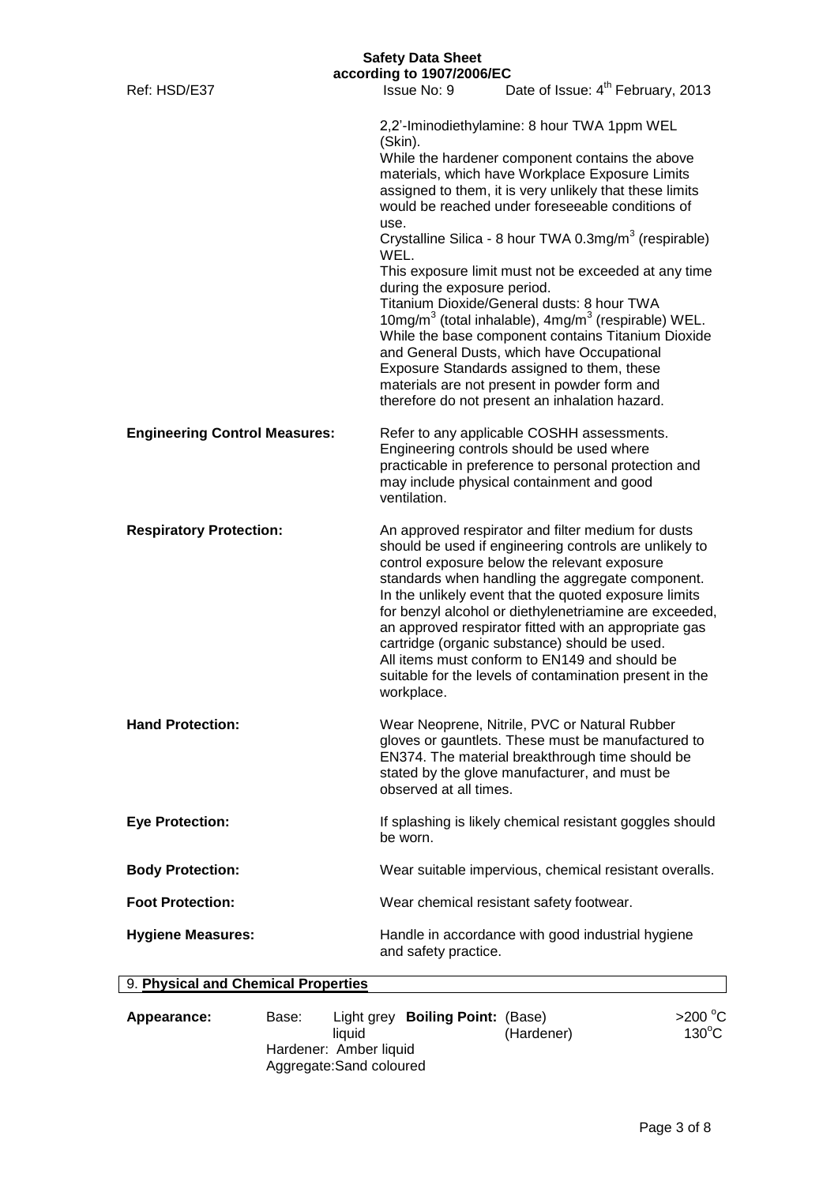|                                      | <b>Safety Data Sheet</b><br>according to 1907/2006/EC  |                                                                                                                                                                                                                                                                                                                                                                                                                                                                                                                                                           |
|--------------------------------------|--------------------------------------------------------|-----------------------------------------------------------------------------------------------------------------------------------------------------------------------------------------------------------------------------------------------------------------------------------------------------------------------------------------------------------------------------------------------------------------------------------------------------------------------------------------------------------------------------------------------------------|
| Ref: HSD/E37                         | Issue No: 9                                            | Date of Issue: 4 <sup>th</sup> February, 2013                                                                                                                                                                                                                                                                                                                                                                                                                                                                                                             |
|                                      | (Skin).<br>use.<br>WEL.<br>during the exposure period. | 2,2'-Iminodiethylamine: 8 hour TWA 1ppm WEL<br>While the hardener component contains the above<br>materials, which have Workplace Exposure Limits<br>assigned to them, it is very unlikely that these limits<br>would be reached under foreseeable conditions of<br>Crystalline Silica - 8 hour TWA 0.3mg/m <sup>3</sup> (respirable)<br>This exposure limit must not be exceeded at any time<br>Titanium Dioxide/General dusts: 8 hour TWA                                                                                                               |
|                                      |                                                        | 10mg/m <sup>3</sup> (total inhalable), $4mg/m3$ (respirable) WEL.<br>While the base component contains Titanium Dioxide<br>and General Dusts, which have Occupational<br>Exposure Standards assigned to them, these<br>materials are not present in powder form and<br>therefore do not present an inhalation hazard.                                                                                                                                                                                                                                     |
| <b>Engineering Control Measures:</b> | ventilation.                                           | Refer to any applicable COSHH assessments.<br>Engineering controls should be used where<br>practicable in preference to personal protection and<br>may include physical containment and good                                                                                                                                                                                                                                                                                                                                                              |
| <b>Respiratory Protection:</b>       | workplace.                                             | An approved respirator and filter medium for dusts<br>should be used if engineering controls are unlikely to<br>control exposure below the relevant exposure<br>standards when handling the aggregate component.<br>In the unlikely event that the quoted exposure limits<br>for benzyl alcohol or diethylenetriamine are exceeded,<br>an approved respirator fitted with an appropriate gas<br>cartridge (organic substance) should be used.<br>All items must conform to EN149 and should be<br>suitable for the levels of contamination present in the |
| <b>Hand Protection:</b>              | observed at all times.                                 | Wear Neoprene, Nitrile, PVC or Natural Rubber<br>gloves or gauntlets. These must be manufactured to<br>EN374. The material breakthrough time should be<br>stated by the glove manufacturer, and must be                                                                                                                                                                                                                                                                                                                                                   |
| <b>Eye Protection:</b>               | be worn.                                               | If splashing is likely chemical resistant goggles should                                                                                                                                                                                                                                                                                                                                                                                                                                                                                                  |
| <b>Body Protection:</b>              |                                                        | Wear suitable impervious, chemical resistant overalls.                                                                                                                                                                                                                                                                                                                                                                                                                                                                                                    |
| <b>Foot Protection:</b>              |                                                        | Wear chemical resistant safety footwear.                                                                                                                                                                                                                                                                                                                                                                                                                                                                                                                  |
| <b>Hygiene Measures:</b>             | and safety practice.                                   | Handle in accordance with good industrial hygiene                                                                                                                                                                                                                                                                                                                                                                                                                                                                                                         |
| 9. Physical and Chemical Properties  |                                                        |                                                                                                                                                                                                                                                                                                                                                                                                                                                                                                                                                           |

| Appearance: | Base:                  | Light grey Boiling Point: (Base) |            | >200 $^{\circ}$ C |
|-------------|------------------------|----------------------------------|------------|-------------------|
|             |                        | liauid                           | (Hardener) | $130^{\circ}$ C   |
|             | Hardener: Amber liquid |                                  |            |                   |
|             |                        | Aggregate: Sand coloured         |            |                   |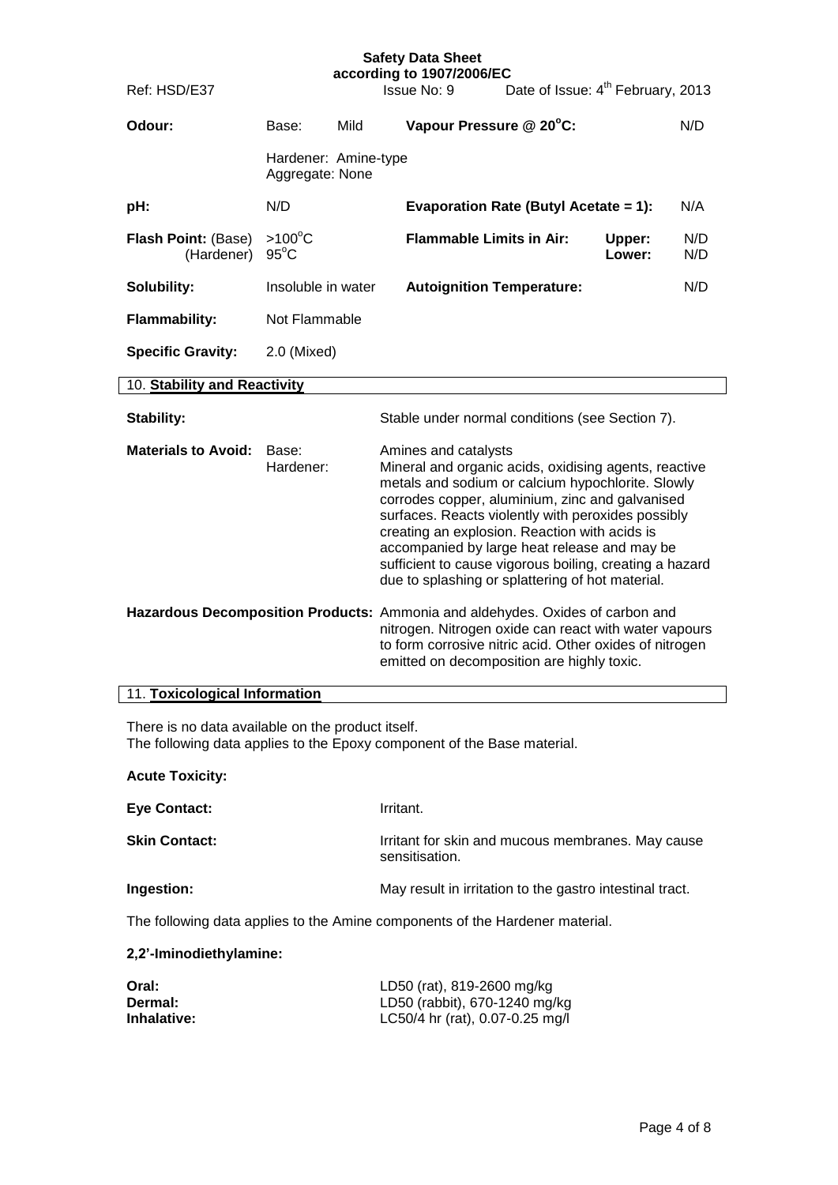| <b>Safety Data Sheet</b><br>according to 1907/2006/EC |                                         |                                                                                                                                                                                                                                                                                                                                                                                                                                                                                                                                                                                                                                                                                                                |                                |  |
|-------------------------------------------------------|-----------------------------------------|----------------------------------------------------------------------------------------------------------------------------------------------------------------------------------------------------------------------------------------------------------------------------------------------------------------------------------------------------------------------------------------------------------------------------------------------------------------------------------------------------------------------------------------------------------------------------------------------------------------------------------------------------------------------------------------------------------------|--------------------------------|--|
| Ref: HSD/E37                                          |                                         | Date of Issue: 4 <sup>th</sup> February, 2013<br>Issue No: 9                                                                                                                                                                                                                                                                                                                                                                                                                                                                                                                                                                                                                                                   |                                |  |
| Odour:                                                | Mild<br>Base:                           | Vapour Pressure @ 20°C:                                                                                                                                                                                                                                                                                                                                                                                                                                                                                                                                                                                                                                                                                        | N/D                            |  |
|                                                       | Hardener: Amine-type<br>Aggregate: None |                                                                                                                                                                                                                                                                                                                                                                                                                                                                                                                                                                                                                                                                                                                |                                |  |
| pH:                                                   | N/D                                     | Evaporation Rate (Butyl Acetate = 1):                                                                                                                                                                                                                                                                                                                                                                                                                                                                                                                                                                                                                                                                          | N/A                            |  |
| <b>Flash Point: (Base)</b><br>(Hardener)              | $>100^{\circ}$ C<br>$95^{\circ}$ C      | <b>Flammable Limits in Air:</b>                                                                                                                                                                                                                                                                                                                                                                                                                                                                                                                                                                                                                                                                                | N/D<br>Upper:<br>Lower:<br>N/D |  |
| Solubility:                                           | Insoluble in water                      | <b>Autoignition Temperature:</b>                                                                                                                                                                                                                                                                                                                                                                                                                                                                                                                                                                                                                                                                               | N/D                            |  |
| <b>Flammability:</b>                                  | Not Flammable                           |                                                                                                                                                                                                                                                                                                                                                                                                                                                                                                                                                                                                                                                                                                                |                                |  |
| <b>Specific Gravity:</b>                              | 2.0 (Mixed)                             |                                                                                                                                                                                                                                                                                                                                                                                                                                                                                                                                                                                                                                                                                                                |                                |  |
| 10. Stability and Reactivity                          |                                         |                                                                                                                                                                                                                                                                                                                                                                                                                                                                                                                                                                                                                                                                                                                |                                |  |
| Stability:                                            |                                         | Stable under normal conditions (see Section 7).                                                                                                                                                                                                                                                                                                                                                                                                                                                                                                                                                                                                                                                                |                                |  |
| <b>Materials to Avoid:</b><br>Base:<br>Hardener:      |                                         | Amines and catalysts<br>Mineral and organic acids, oxidising agents, reactive<br>metals and sodium or calcium hypochlorite. Slowly<br>corrodes copper, aluminium, zinc and galvanised<br>surfaces. Reacts violently with peroxides possibly<br>creating an explosion. Reaction with acids is<br>accompanied by large heat release and may be<br>sufficient to cause vigorous boiling, creating a hazard<br>due to splashing or splattering of hot material.<br>Hazardous Decomposition Products: Ammonia and aldehydes. Oxides of carbon and<br>nitrogen. Nitrogen oxide can react with water vapours<br>to form corrosive nitric acid. Other oxides of nitrogen<br>emitted on decomposition are highly toxic. |                                |  |
| 11. Toxicological Information                         |                                         |                                                                                                                                                                                                                                                                                                                                                                                                                                                                                                                                                                                                                                                                                                                |                                |  |
| There is no data available on the product itself.     |                                         | The following data applies to the Epoxy component of the Base material.                                                                                                                                                                                                                                                                                                                                                                                                                                                                                                                                                                                                                                        |                                |  |
| <b>Acute Toxicity:</b>                                |                                         |                                                                                                                                                                                                                                                                                                                                                                                                                                                                                                                                                                                                                                                                                                                |                                |  |
| <b>Eye Contact:</b>                                   |                                         | Irritant.                                                                                                                                                                                                                                                                                                                                                                                                                                                                                                                                                                                                                                                                                                      |                                |  |
| <b>Skin Contact:</b>                                  |                                         | Irritant for skin and mucous membranes. May cause<br>sensitisation.                                                                                                                                                                                                                                                                                                                                                                                                                                                                                                                                                                                                                                            |                                |  |
| Ingestion:                                            |                                         | May result in irritation to the gastro intestinal tract.                                                                                                                                                                                                                                                                                                                                                                                                                                                                                                                                                                                                                                                       |                                |  |
|                                                       |                                         | The following data applies to the Amine components of the Hardener material.                                                                                                                                                                                                                                                                                                                                                                                                                                                                                                                                                                                                                                   |                                |  |
| 2,2'-Iminodiethylamine:                               |                                         |                                                                                                                                                                                                                                                                                                                                                                                                                                                                                                                                                                                                                                                                                                                |                                |  |
| Oral:<br>Dermal:<br>Inhalative:                       |                                         | LD50 (rat), 819-2600 mg/kg<br>LD50 (rabbit), 670-1240 mg/kg<br>LC50/4 hr (rat), 0.07-0.25 mg/l                                                                                                                                                                                                                                                                                                                                                                                                                                                                                                                                                                                                                 |                                |  |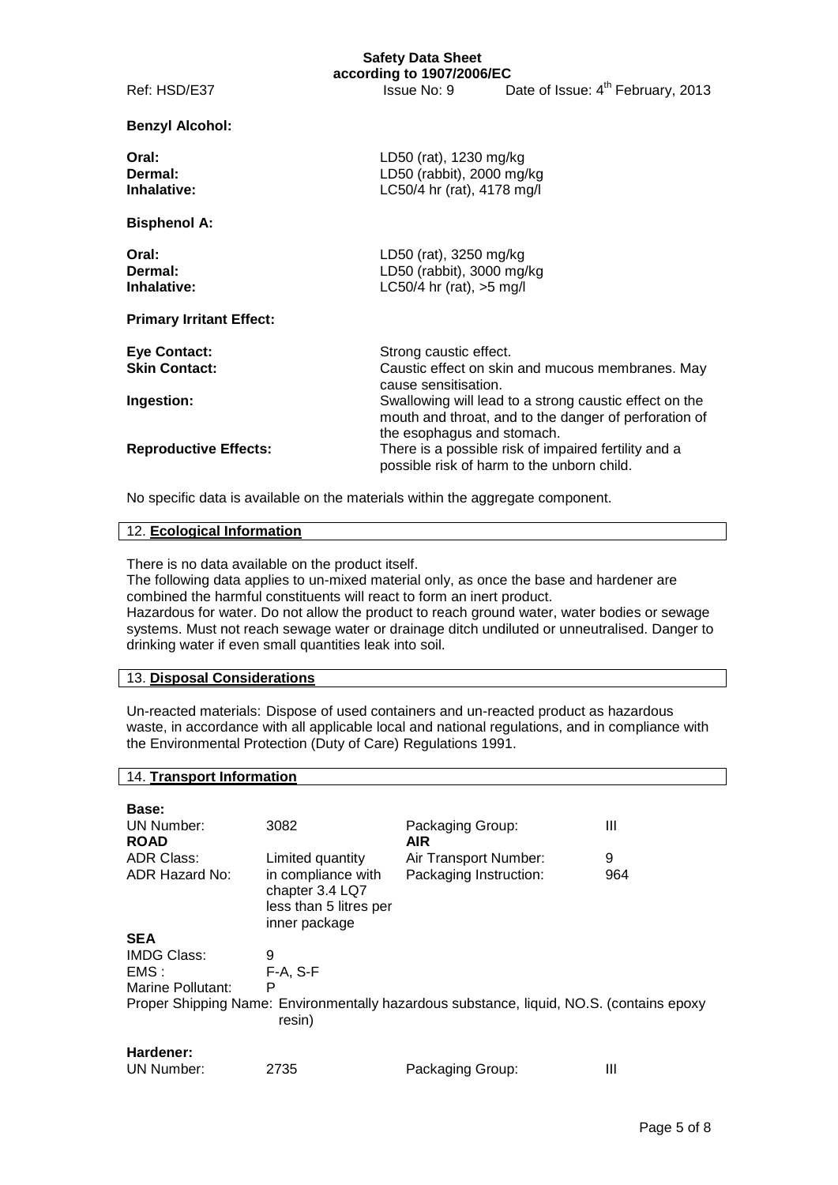|                                             | <b>Safety Data Sheet</b><br>according to 1907/2006/EC                             |                                                                                                                 |
|---------------------------------------------|-----------------------------------------------------------------------------------|-----------------------------------------------------------------------------------------------------------------|
| Ref: HSD/E37                                | Issue No: 9                                                                       | Date of Issue: 4 <sup>th</sup> February, 2013                                                                   |
| <b>Benzyl Alcohol:</b>                      |                                                                                   |                                                                                                                 |
| Oral:<br>Dermal:<br>Inhalative:             | LD50 (rat), 1230 mg/kg<br>LD50 (rabbit), 2000 mg/kg<br>LC50/4 hr (rat), 4178 mg/l |                                                                                                                 |
| <b>Bisphenol A:</b>                         |                                                                                   |                                                                                                                 |
| Oral:<br>Dermal:<br>Inhalative:             | LD50 (rat), 3250 mg/kg<br>LD50 (rabbit), 3000 mg/kg<br>LC50/4 hr (rat), $>5$ mg/l |                                                                                                                 |
| <b>Primary Irritant Effect:</b>             |                                                                                   |                                                                                                                 |
| <b>Eye Contact:</b><br><b>Skin Contact:</b> | Strong caustic effect.<br>cause sensitisation.                                    | Caustic effect on skin and mucous membranes. May                                                                |
| Ingestion:                                  | the esophagus and stomach.                                                        | Swallowing will lead to a strong caustic effect on the<br>mouth and throat, and to the danger of perforation of |
| <b>Reproductive Effects:</b>                |                                                                                   | There is a possible risk of impaired fertility and a<br>possible risk of harm to the unborn child.              |

No specific data is available on the materials within the aggregate component.

#### 12. **Ecological Information**

There is no data available on the product itself.

The following data applies to un-mixed material only, as once the base and hardener are combined the harmful constituents will react to form an inert product.

Hazardous for water. Do not allow the product to reach ground water, water bodies or sewage systems. Must not reach sewage water or drainage ditch undiluted or unneutralised. Danger to drinking water if even small quantities leak into soil.

### 13. **Disposal Considerations**

14. **Transport Information**

Un-reacted materials: Dispose of used containers and un-reacted product as hazardous waste, in accordance with all applicable local and national regulations, and in compliance with the Environmental Protection (Duty of Care) Regulations 1991.

| Base:                     |                                                                                  |                                                                                          |     |
|---------------------------|----------------------------------------------------------------------------------|------------------------------------------------------------------------------------------|-----|
| UN Number:<br><b>ROAD</b> | 3082                                                                             | Packaging Group:<br>AIR.                                                                 | Ш   |
| <b>ADR Class:</b>         | Limited quantity                                                                 | Air Transport Number:                                                                    | 9   |
| ADR Hazard No:            | in compliance with<br>chapter 3.4 LQ7<br>less than 5 litres per<br>inner package | Packaging Instruction:                                                                   | 964 |
| <b>SEA</b>                |                                                                                  |                                                                                          |     |
| <b>IMDG Class:</b>        | 9                                                                                |                                                                                          |     |
| EMS:                      | $F-A, S-F$                                                                       |                                                                                          |     |
| Marine Pollutant:         | Р                                                                                |                                                                                          |     |
|                           | resin)                                                                           | Proper Shipping Name: Environmentally hazardous substance, liquid, NO.S. (contains epoxy |     |
| Hardener:                 |                                                                                  |                                                                                          |     |
| UN Number:                | 2735                                                                             | Packaging Group:                                                                         | Ш   |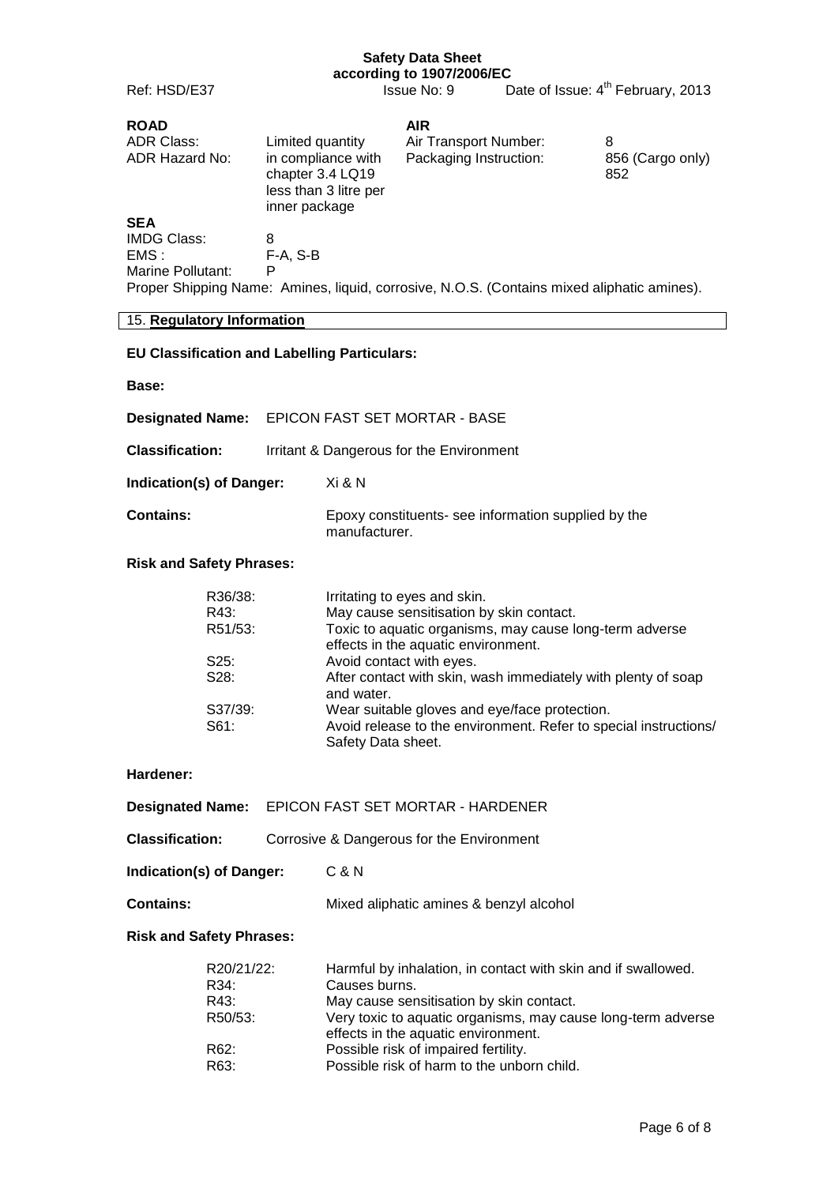**according to 1907/2006/EC** Ref: HSD/E37 Issue No: 9 Date of Issue: 4<sup>th</sup> February, 2013 **ROAD AIR**<br>ADR Class: Limited quantity Air T Limited quantity Air Transport Number: 8<br>in compliance with Packaging Instruction: 89 ADR Hazard No: in compliance with Packaging Instruction: 856 (Cargo only) chapter 3.4 LQ19 852

less than 3 litre per inner package **SEA** IMDG Class: 8<br>EMS : F  $F-A, S-B$ Marine Pollutant: P Proper Shipping Name: Amines, liquid, corrosive, N.O.S. (Contains mixed aliphatic amines).

#### 15. **Regulatory Information**

## **EU Classification and Labelling Particulars:**

#### **Base:**

|                          | <b>Designated Name:</b> EPICON FAST SET MORTAR - BASE |                                                                      |
|--------------------------|-------------------------------------------------------|----------------------------------------------------------------------|
| <b>Classification:</b>   |                                                       | Irritant & Dangerous for the Environment                             |
| Indication(s) of Danger: |                                                       | Xi & N                                                               |
| <b>Contains:</b>         |                                                       | Epoxy constituents- see information supplied by the<br>manufacturer. |

#### **Risk and Safety Phrases:**

| R36/38: | Irritating to eyes and skin.                                                |
|---------|-----------------------------------------------------------------------------|
| R43:    | May cause sensitisation by skin contact.                                    |
| R51/53: | Toxic to aquatic organisms, may cause long-term adverse                     |
|         | effects in the aquatic environment.                                         |
| S25:    | Avoid contact with eyes.                                                    |
| S28:    | After contact with skin, wash immediately with plenty of soap<br>and water. |
| S37/39: | Wear suitable gloves and eye/face protection.                               |
| S61:    | Avoid release to the environment. Refer to special instructions/            |
|         | Safety Data sheet.                                                          |

#### **Hardener:**

|                                 | <b>Designated Name:</b> EPICON FAST SET MORTAR - HARDENER |                                         |
|---------------------------------|-----------------------------------------------------------|-----------------------------------------|
| Classification:                 | Corrosive & Dangerous for the Environment                 |                                         |
| <b>Indication(s) of Danger:</b> |                                                           | C & N                                   |
| <b>Contains:</b>                |                                                           | Mixed aliphatic amines & benzyl alcohol |
|                                 |                                                           |                                         |

#### **Risk and Safety Phrases:**

| R20/21/22: | Harmful by inhalation, in contact with skin and if swallowed.                                       |
|------------|-----------------------------------------------------------------------------------------------------|
| R34:       | Causes burns.                                                                                       |
| R43:       | May cause sensitisation by skin contact.                                                            |
| R50/53:    | Very toxic to aquatic organisms, may cause long-term adverse<br>effects in the aquatic environment. |
| R62:       | Possible risk of impaired fertility.                                                                |
| R63:       | Possible risk of harm to the unborn child.                                                          |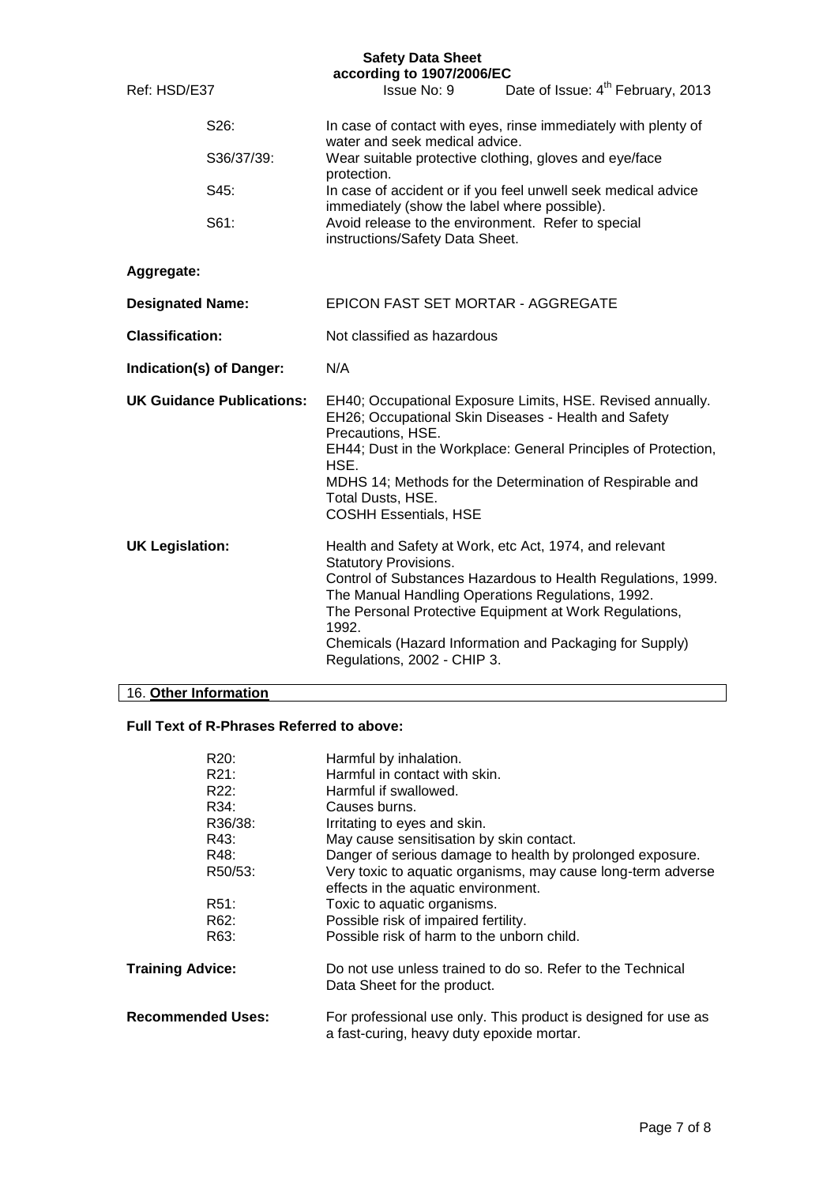|                                    |  | according to 1907/2006/EC                                                                                                                                                                                                                                                                                                          |                                                                                                                                                                                   |  |
|------------------------------------|--|------------------------------------------------------------------------------------------------------------------------------------------------------------------------------------------------------------------------------------------------------------------------------------------------------------------------------------|-----------------------------------------------------------------------------------------------------------------------------------------------------------------------------------|--|
| Ref: HSD/E37                       |  | Issue No: 9                                                                                                                                                                                                                                                                                                                        | Date of Issue: 4 <sup>th</sup> February, 2013                                                                                                                                     |  |
| S26:<br>S36/37/39:<br>S45:<br>S61: |  | In case of contact with eyes, rinse immediately with plenty of<br>water and seek medical advice.                                                                                                                                                                                                                                   |                                                                                                                                                                                   |  |
|                                    |  | Wear suitable protective clothing, gloves and eye/face<br>protection.                                                                                                                                                                                                                                                              |                                                                                                                                                                                   |  |
|                                    |  | In case of accident or if you feel unwell seek medical advice<br>immediately (show the label where possible).                                                                                                                                                                                                                      |                                                                                                                                                                                   |  |
|                                    |  | Avoid release to the environment. Refer to special<br>instructions/Safety Data Sheet.                                                                                                                                                                                                                                              |                                                                                                                                                                                   |  |
| Aggregate:                         |  |                                                                                                                                                                                                                                                                                                                                    |                                                                                                                                                                                   |  |
| <b>Designated Name:</b>            |  | EPICON FAST SET MORTAR - AGGREGATE                                                                                                                                                                                                                                                                                                 |                                                                                                                                                                                   |  |
| <b>Classification:</b>             |  | Not classified as hazardous                                                                                                                                                                                                                                                                                                        |                                                                                                                                                                                   |  |
| Indication(s) of Danger:           |  | N/A                                                                                                                                                                                                                                                                                                                                |                                                                                                                                                                                   |  |
| <b>UK Guidance Publications:</b>   |  | EH40; Occupational Exposure Limits, HSE. Revised annually.<br>EH26; Occupational Skin Diseases - Health and Safety<br>Precautions, HSE.<br>EH44; Dust in the Workplace: General Principles of Protection,<br>HSE.<br>MDHS 14; Methods for the Determination of Respirable and<br>Total Dusts, HSE.<br><b>COSHH Essentials, HSE</b> |                                                                                                                                                                                   |  |
| <b>UK Legislation:</b>             |  | Health and Safety at Work, etc Act, 1974, and relevant<br><b>Statutory Provisions.</b><br>The Manual Handling Operations Regulations, 1992.<br>1992.<br>Regulations, 2002 - CHIP 3.                                                                                                                                                | Control of Substances Hazardous to Health Regulations, 1999.<br>The Personal Protective Equipment at Work Regulations,<br>Chemicals (Hazard Information and Packaging for Supply) |  |

# 16. **Other Information**

## **Full Text of R-Phrases Referred to above:**

| R20:                     | Harmful by inhalation.                                                                                      |
|--------------------------|-------------------------------------------------------------------------------------------------------------|
| R21:                     | Harmful in contact with skin.                                                                               |
| R22:                     | Harmful if swallowed.                                                                                       |
| R34:                     | Causes burns.                                                                                               |
| R36/38:                  | Irritating to eyes and skin.                                                                                |
| R43:                     | May cause sensitisation by skin contact.                                                                    |
| R48:                     | Danger of serious damage to health by prolonged exposure.                                                   |
| R50/53:                  | Very toxic to aquatic organisms, may cause long-term adverse                                                |
|                          | effects in the aquatic environment.                                                                         |
| R <sub>51</sub> :        | Toxic to aquatic organisms.                                                                                 |
| R62:                     | Possible risk of impaired fertility.                                                                        |
| R63:                     | Possible risk of harm to the unborn child.                                                                  |
| <b>Training Advice:</b>  | Do not use unless trained to do so. Refer to the Technical<br>Data Sheet for the product.                   |
| <b>Recommended Uses:</b> | For professional use only. This product is designed for use as<br>a fast-curing, heavy duty epoxide mortar. |